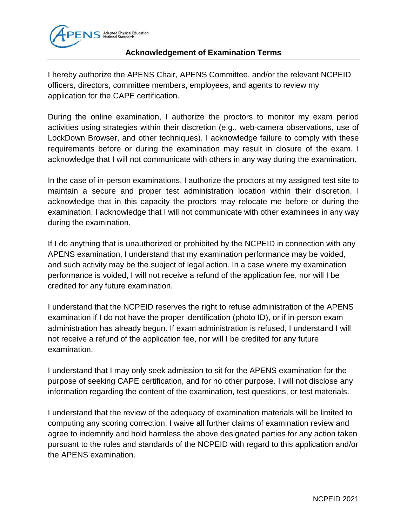

## **Acknowledgement of Examination Terms**

I hereby authorize the APENS Chair, APENS Committee, and/or the relevant NCPEID officers, directors, committee members, employees, and agents to review my application for the CAPE certification.

During the online examination, I authorize the proctors to monitor my exam period activities using strategies within their discretion (e.g., web-camera observations, use of LockDown Browser, and other techniques). I acknowledge failure to comply with these requirements before or during the examination may result in closure of the exam. I acknowledge that I will not communicate with others in any way during the examination.

In the case of in-person examinations, I authorize the proctors at my assigned test site to maintain a secure and proper test administration location within their discretion. I acknowledge that in this capacity the proctors may relocate me before or during the examination. I acknowledge that I will not communicate with other examinees in any way during the examination.

If I do anything that is unauthorized or prohibited by the NCPEID in connection with any APENS examination, I understand that my examination performance may be voided, and such activity may be the subject of legal action. In a case where my examination performance is voided, I will not receive a refund of the application fee, nor will I be credited for any future examination.

I understand that the NCPEID reserves the right to refuse administration of the APENS examination if I do not have the proper identification (photo ID), or if in-person exam administration has already begun. If exam administration is refused, I understand I will not receive a refund of the application fee, nor will I be credited for any future examination.

I understand that I may only seek admission to sit for the APENS examination for the purpose of seeking CAPE certification, and for no other purpose. I will not disclose any information regarding the content of the examination, test questions, or test materials.

I understand that the review of the adequacy of examination materials will be limited to computing any scoring correction. I waive all further claims of examination review and agree to indemnify and hold harmless the above designated parties for any action taken pursuant to the rules and standards of the NCPEID with regard to this application and/or the APENS examination.